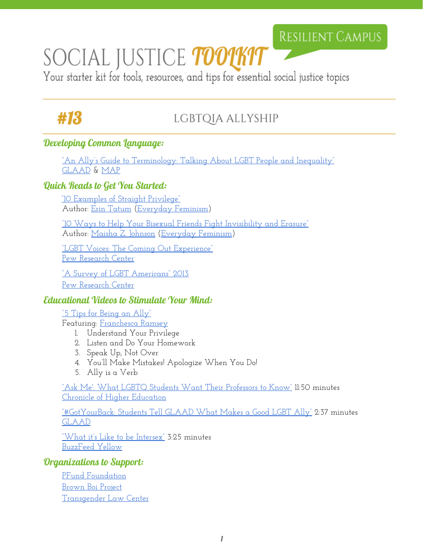## RESILIENT CAMPUS

# SOCIAL JUSTICE TOOUKIT

Your starter kit for tools, resources, and tips for essential social justice topics

# #13

### LGBTQIA ALLYSHIP

#### Developing Common Language:

["An Ally's Guide to Terminology:](http://www.glaad.org/publications/talkingabout/terminology) Talking About LGBT People and Inequality" [GLAAD](http://www.glaad.org/) & [MAP](http://www.lgbtmap.org/)

#### Quick Reads to Get You Started:

["10 Examples of Straight Privilege"](http://everydayfeminism.com/2015/03/examples-straight-privilege/) Author: [Erin Tatum](http://everydayfeminism.com/author/erint/) ([Everyday](http://everydayfeminism.com/) Feminism)

["1](http://everydayfeminism.com/2016/09/help-fight-bi-erasure/)0 Ways to Help Your [Bisexual Friends Fight Invisibility](http://everydayfeminism.com/2016/09/help-fight-bi-erasure/) and Erasure" Author: [Maisha Z. Johnson](http://everydayfeminism.com/author/mjohnson/) [\(Everyday](http://everydayfeminism.com/) Feminism)

["LGBT Voices: The Coming Out Experience"](http://www.pewresearch.org/2013/06/13/lgbt-voices/) [Pew Research Center](http://www.pewresearch.org/)

["A Survey of LGBT Americans"](http://www.pewsocialtrends.org/2013/06/13/a-survey-of-lgbt-americans/) 2013 [Pew Research Center](http://www.pewresearch.org/)

#### Educational Videos to Stimulate Your Mind:

<u>["5 Tips for Being an Ally"](https://www.youtube.com/watch?v=_dg86g-QlM0)</u> Featuring: [Franchesca](https://twitter.com/chescaleigh) Ramsey

- 1. Understand Your Privilege
- 2. Listen and Do Your Homework
- 3. Speak Up, Not Over
- 4. You'll Make Mistakes! Apologize When You Do!
- 5. Ally is a Verb

["Ask Me': What LGBTQ](https://www.youtube.com/watch?v=rnbnF8QAnsY) Students Want Their Professors to Know" 11:50 minutes [Chronicle of Higher Education](http://www.chronicle.com/)

<u>["#GotYourBack: Students Tell GLAAD](https://www.youtube.com/watch?v=6i5fFwCr4M4) What Makes a Good LGBT Ally"</u> 2:37 minutes [GLAAD](http://www.glaad.org/)

["What it's Like to be](https://www.youtube.com/watch?v=cAUDKEI4QKI&list=RD_dg86g-QlM0&index=27) Intersex" 3:25 minutes [BuzzFeed Yellow](https://www.youtube.com/user/BuzzFeedYellow)

#### Organizations to Support:

[PFund Foundation](http://pfundfoundation.org/) [Brown Boi Project](http://www.brownboiproject.org/) [Transgender Law Center](http://transgenderlawcenter.org/)